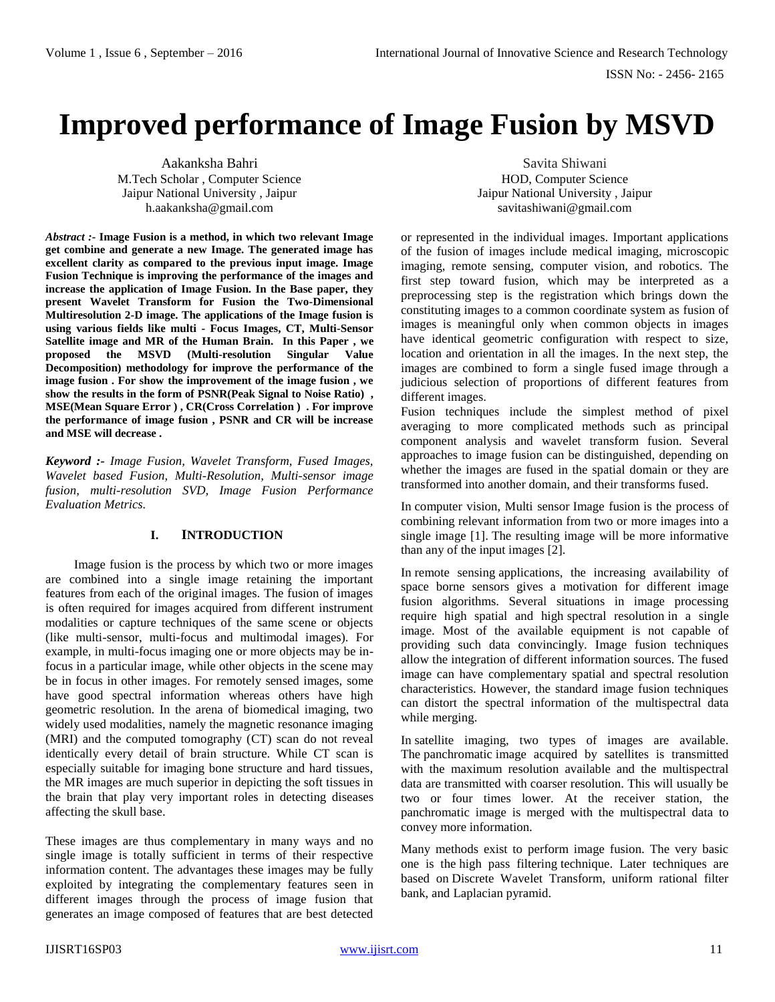# **Improved performance of Image Fusion by MSVD**

Aakanksha Bahri M.Tech Scholar , Computer Science Jaipur National University , Jaipur h.aakanksha@gmail.com

*Abstract :-* **Image Fusion is a method, in which two relevant Image get combine and generate a new Image. The generated image has excellent clarity as compared to the previous input image. Image Fusion Technique is improving the performance of the images and increase the application of Image Fusion. In the Base paper, they present Wavelet Transform for Fusion the Two-Dimensional Multiresolution 2-D image. The applications of the Image fusion is using various fields like multi - Focus Images, CT, Multi-Sensor Satellite image and MR of the Human Brain. In this Paper , we**   $\mu$ **bilihoph** (Multi-resolution Singular Value **Decomposition) methodology for improve the performance of the image fusion . For show the improvement of the image fusion , we show the results in the form of PSNR(Peak Signal to Noise Ratio) , MSE(Mean Square Error ) , CR(Cross Correlation ) . For improve the performance of image fusion , PSNR and CR will be increase and MSE will decrease .** 

*Keyword :- Image Fusion, Wavelet Transform, Fused Images, Wavelet based Fusion, Multi-Resolution, Multi-sensor image fusion, multi-resolution SVD, Image Fusion Performance Evaluation Metrics.*

# **I. INTRODUCTION**

Image fusion is the process by which two or more images are combined into a single image retaining the important features from each of the original images. The fusion of images is often required for images acquired from different instrument modalities or capture techniques of the same scene or objects (like multi-sensor, multi-focus and multimodal images). For example, in multi-focus imaging one or more objects may be infocus in a particular image, while other objects in the scene may be in focus in other images. For remotely sensed images, some have good spectral information whereas others have high geometric resolution. In the arena of biomedical imaging, two widely used modalities, namely the magnetic resonance imaging (MRI) and the computed tomography (CT) scan do not reveal identically every detail of brain structure. While CT scan is especially suitable for imaging bone structure and hard tissues, the MR images are much superior in depicting the soft tissues in the brain that play very important roles in detecting diseases affecting the skull base.

These images are thus complementary in many ways and no single image is totally sufficient in terms of their respective information content. The advantages these images may be fully exploited by integrating the complementary features seen in different images through the process of image fusion that generates an image composed of features that are best detected

Savita Shiwani HOD, Computer Science Jaipur National University , Jaipur savitashiwani@gmail.com

or represented in the individual images. Important applications of the fusion of images include medical imaging, microscopic imaging, remote sensing, computer vision, and robotics. The first step toward fusion, which may be interpreted as a preprocessing step is the registration which brings down the constituting images to a common coordinate system as fusion of images is meaningful only when common objects in images have identical geometric configuration with respect to size, location and orientation in all the images. In the next step, the images are combined to form a single fused image through a judicious selection of proportions of different features from different images.

Fusion techniques include the simplest method of pixel averaging to more complicated methods such as principal component analysis and wavelet transform fusion. Several approaches to image fusion can be distinguished, depending on whether the images are fused in the spatial domain or they are transformed into another domain, and their transforms fused.

In computer vision, Multi sensor Image fusion is the process of combining relevant information from two or more images into a single image [1]. The resulting image will be more informative than any of the input images [2].

In remote sensing applications, the increasing availability of space borne sensors gives a motivation for different image fusion algorithms. Several situations in image processing require high spatial and high spectral resolution in a single image. Most of the available equipment is not capable of providing such data convincingly. Image fusion techniques allow the integration of different information sources. The fused image can have complementary spatial and spectral resolution characteristics. However, the standard image fusion techniques can distort the spectral information of the multispectral data while merging.

In satellite imaging, two types of images are available. The panchromatic image acquired by satellites is transmitted with the maximum resolution available and the multispectral data are transmitted with coarser resolution. This will usually be two or four times lower. At the receiver station, the panchromatic image is merged with the multispectral data to convey more information.

Many methods exist to perform image fusion. The very basic one is the high pass filtering technique. Later techniques are based on Discrete Wavelet Transform, uniform rational filter bank, and Laplacian pyramid.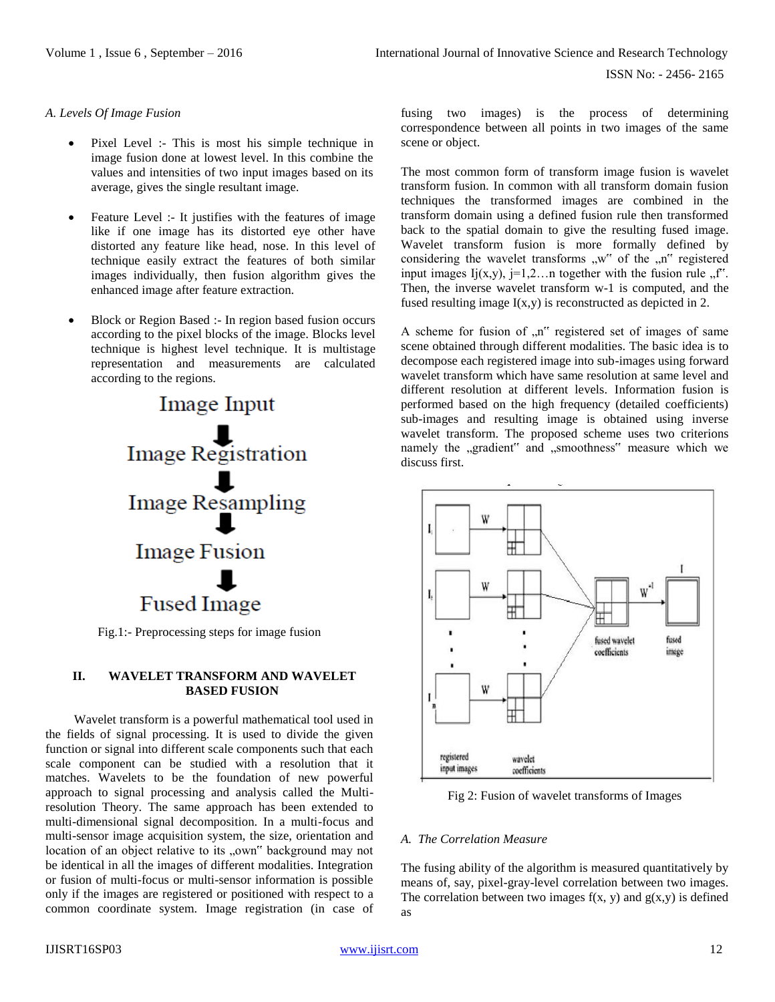### *A. Levels Of Image Fusion*

- Pixel Level :- This is most his simple technique in image fusion done at lowest level. In this combine the values and intensities of two input images based on its average, gives the single resultant image.
- Feature Level :- It justifies with the features of image like if one image has its distorted eye other have distorted any feature like head, nose. In this level of technique easily extract the features of both similar images individually, then fusion algorithm gives the enhanced image after feature extraction.
- Block or Region Based :- In region based fusion occurs according to the pixel blocks of the image. Blocks level technique is highest level technique. It is multistage representation and measurements are calculated according to the regions.



Fig.1:- Preprocessing steps for image fusion

### **II. WAVELET TRANSFORM AND WAVELET BASED FUSION**

Wavelet transform is a powerful mathematical tool used in the fields of signal processing. It is used to divide the given function or signal into different scale components such that each scale component can be studied with a resolution that it matches. Wavelets to be the foundation of new powerful approach to signal processing and analysis called the Multiresolution Theory. The same approach has been extended to multi-dimensional signal decomposition. In a multi-focus and multi-sensor image acquisition system, the size, orientation and location of an object relative to its "own" background may not be identical in all the images of different modalities. Integration or fusion of multi-focus or multi-sensor information is possible only if the images are registered or positioned with respect to a common coordinate system. Image registration (in case of fusing two images) is the process of determining correspondence between all points in two images of the same scene or object.

The most common form of transform image fusion is wavelet transform fusion. In common with all transform domain fusion techniques the transformed images are combined in the transform domain using a defined fusion rule then transformed back to the spatial domain to give the resulting fused image. Wavelet transform fusion is more formally defined by considering the wavelet transforms  $\mathbf{w}^{\prime\prime}$  of the  $\mathbf{w}^{\prime\prime}$  registered input images  $I_j(x,y)$ ,  $j=1,2...$  together with the fusion rule  $\pi$ . Then, the inverse wavelet transform w-1 is computed, and the fused resulting image I(x,y) is reconstructed as depicted in 2.

A scheme for fusion of  $n<sup>n</sup>$  registered set of images of same scene obtained through different modalities. The basic idea is to decompose each registered image into sub-images using forward wavelet transform which have same resolution at same level and different resolution at different levels. Information fusion is performed based on the high frequency (detailed coefficients) sub-images and resulting image is obtained using inverse wavelet transform. The proposed scheme uses two criterions namely the "gradient" and "smoothness" measure which we discuss first.



Fig 2: Fusion of wavelet transforms of Images

### *A. The Correlation Measure*

The fusing ability of the algorithm is measured quantitatively by means of, say, pixel-gray-level correlation between two images. The correlation between two images  $f(x, y)$  and  $g(x,y)$  is defined as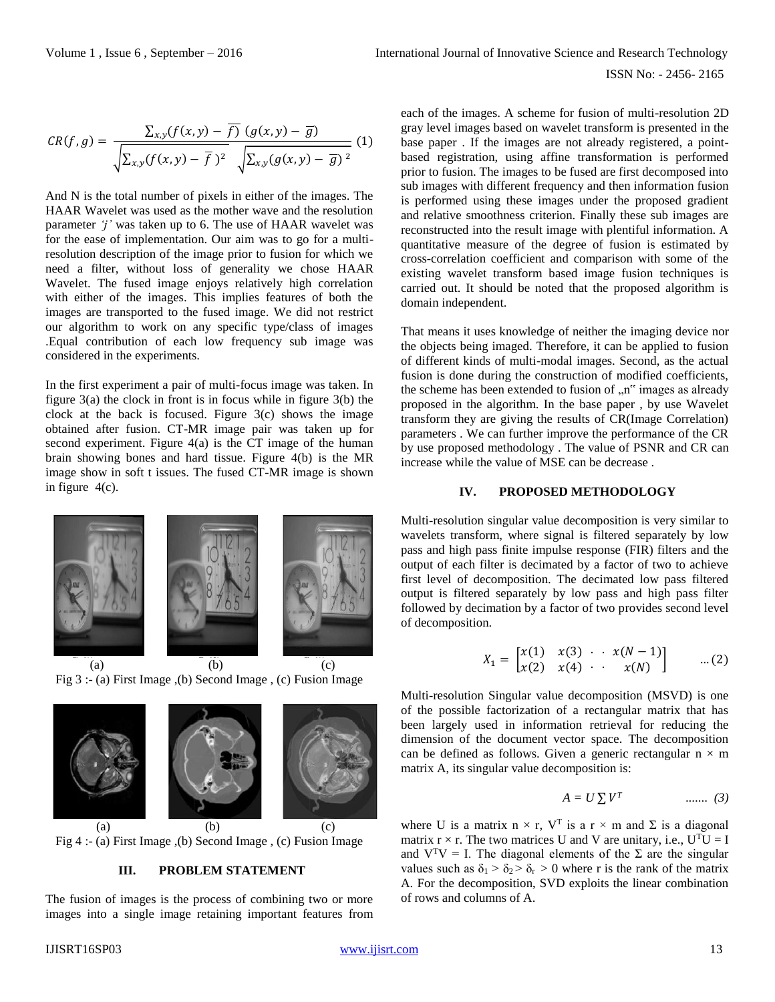$$
CR(f,g) = \frac{\sum_{x,y}(f(x,y) - \overline{f}) (g(x,y) - \overline{g})}{\sqrt{\sum_{x,y}(f(x,y) - \overline{f})^2} \sqrt{\sum_{x,y}(g(x,y) - \overline{g})^2}} (1)
$$

And N is the total number of pixels in either of the images. The HAAR Wavelet was used as the mother wave and the resolution parameter *'j'* was taken up to 6. The use of HAAR wavelet was for the ease of implementation. Our aim was to go for a multiresolution description of the image prior to fusion for which we need a filter, without loss of generality we chose HAAR Wavelet. The fused image enjoys relatively high correlation with either of the images. This implies features of both the images are transported to the fused image. We did not restrict our algorithm to work on any specific type/class of images .Equal contribution of each low frequency sub image was considered in the experiments.

In the first experiment a pair of multi-focus image was taken. In figure 3(a) the clock in front is in focus while in figure 3(b) the clock at the back is focused. Figure  $3(c)$  shows the image obtained after fusion. CT-MR image pair was taken up for second experiment. Figure 4(a) is the CT image of the human brain showing bones and hard tissue. Figure 4(b) is the MR image show in soft t issues. The fused CT-MR image is shown in figure  $4(c)$ .



(a)  $(b)$  (c) Fig 3 :- (a) First Image ,(b) Second Image , (c) Fusion Image



(a)  $(b)$  (c) Fig 4 :- (a) First Image ,(b) Second Image , (c) Fusion Image

## **III. PROBLEM STATEMENT**

The fusion of images is the process of combining two or more images into a single image retaining important features from each of the images. A scheme for fusion of multi-resolution 2D gray level images based on wavelet transform is presented in the base paper . If the images are not already registered, a pointbased registration, using affine transformation is performed prior to fusion. The images to be fused are first decomposed into sub images with different frequency and then information fusion is performed using these images under the proposed gradient and relative smoothness criterion. Finally these sub images are reconstructed into the result image with plentiful information. A quantitative measure of the degree of fusion is estimated by cross-correlation coefficient and comparison with some of the existing wavelet transform based image fusion techniques is carried out. It should be noted that the proposed algorithm is domain independent.

That means it uses knowledge of neither the imaging device nor the objects being imaged. Therefore, it can be applied to fusion of different kinds of multi-modal images. Second, as the actual fusion is done during the construction of modified coefficients, the scheme has been extended to fusion of  $n<sup>n</sup>$  images as already proposed in the algorithm. In the base paper , by use Wavelet transform they are giving the results of CR(Image Correlation) parameters . We can further improve the performance of the CR by use proposed methodology . The value of PSNR and CR can increase while the value of MSE can be decrease .

## **IV. PROPOSED METHODOLOGY**

Multi-resolution singular value decomposition is very similar to wavelets transform, where signal is filtered separately by low pass and high pass finite impulse response (FIR) filters and the output of each filter is decimated by a factor of two to achieve first level of decomposition. The decimated low pass filtered output is filtered separately by low pass and high pass filter followed by decimation by a factor of two provides second level of decomposition.

$$
X_1 = \begin{bmatrix} x(1) & x(3) & \cdots & x(N-1) \\ x(2) & x(4) & \cdots & x(N) \end{bmatrix} \qquad \dots (2)
$$

Multi-resolution Singular value decomposition (MSVD) is one of the possible factorization of a rectangular matrix that has been largely used in information retrieval for reducing the dimension of the document vector space. The decomposition can be defined as follows. Given a generic rectangular  $n \times m$ matrix A, its singular value decomposition is:

$$
A = U \sum V^T \qquad \qquad \dots \dots \quad (3)
$$

where U is a matrix  $n \times r$ , V<sup>T</sup> is a  $r \times m$  and  $\Sigma$  is a diagonal matrix  $r \times r$ . The two matrices U and V are unitary, i.e.,  $U^{T}U = I$ and  $V^{T}V = I$ . The diagonal elements of the  $\Sigma$  are the singular values such as  $\delta_1 > \delta_2 > \delta_r > 0$  where r is the rank of the matrix A. For the decomposition, SVD exploits the linear combination of rows and columns of A.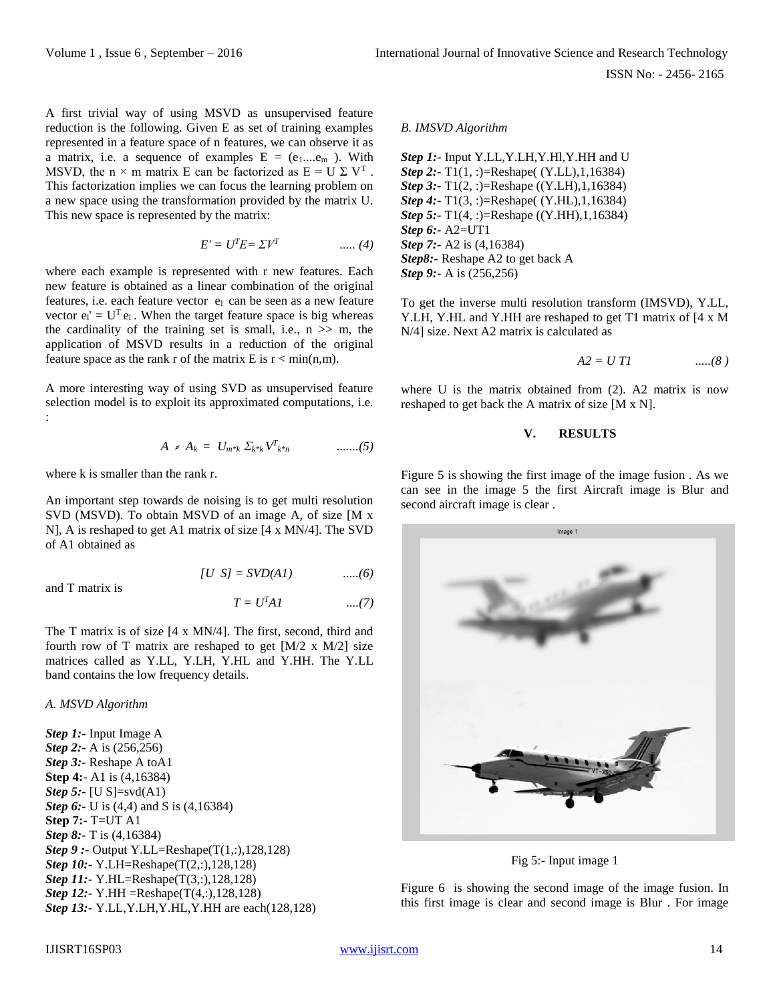A first trivial way of using MSVD as unsupervised feature reduction is the following. Given E as set of training examples represented in a feature space of n features, we can observe it as a matrix, i.e. a sequence of examples  $E = (e_1...e_m)$ . With MSVD, the n  $\times$  m matrix E can be factorized as  $E = U \Sigma V^{T}$ . This factorization implies we can focus the learning problem on a new space using the transformation provided by the matrix U. This new space is represented by the matrix:

$$
E' = UT E = \Sigma VT \qquad \qquad \dots (4)
$$

where each example is represented with r new features. Each new feature is obtained as a linear combination of the original features, i.e. each feature vector el can be seen as a new feature vector  $e_l' = U^T e_l$ . When the target feature space is big whereas the cardinality of the training set is small, i.e.,  $n \gg m$ , the application of MSVD results in a reduction of the original feature space as the rank r of the matrix E is  $r < min(n,m)$ .

A more interesting way of using SVD as unsupervised feature selection model is to exploit its approximated computations, i.e. :

$$
A = A_k = U_{m^{*k}} \Sigma_{k^{*k}} V^T_{k^{*n}} \qquad \qquad \ldots \ldots (5)
$$

where k is smaller than the rank r.

An important step towards de noising is to get multi resolution SVD (MSVD). To obtain MSVD of an image A, of size [M x N], A is reshaped to get A1 matrix of size [4 x MN/4]. The SVD of A1 obtained as

$$
[U S] = SVD(A1) \qquad \qquad \dots (6)
$$

and T matrix is

$$
T = UT A I
$$
 ....(7)

The T matrix is of size [4 x MN/4]. The first, second, third and fourth row of T matrix are reshaped to get  $[M/2 \times M/2]$  size matrices called as Y.LL, Y.LH, Y.HL and Y.HH. The Y.LL band contains the low frequency details.

#### *A. MSVD Algorithm*

*Step 1:-* Input Image A *Step 2:*- A is (256,256) *Step 3:-* Reshape A toA1 **Step 4:**- A1 is (4,16384) *Step 5:-* [U S]=svd(A1) *Step 6:*- U is (4,4) and S is (4,16384) **Step 7:-** T=UT A1 *Step 8:-* T is (4,16384) *Step 9 :-* Output Y.LL=Reshape(T(1,:),128,128) *Step 10:-* Y.LH=Reshape(T(2,:),128,128) *Step 11:*- Y.HL=Reshape(T(3,:),128,128) *Step 12:-* Y.HH =Reshape(T(4,:),128,128) *Step 13:-* Y.LL,Y.LH,Y.HL,Y.HH are each(128,128)

#### *B. IMSVD Algorithm*

*Step 1:*- Input Y.LL, Y.LH, Y.HI, Y.HH and U *Step 2:-* T1(1, :)=Reshape( (Y.LL),1,16384) *Step 3:*- T1(2, :)=Reshape ((Y.LH),1,16384) *Step 4:-* T1(3, :)=Reshape( (Y.HL),1,16384) *Step 5:*- T1(4, :)=Reshape ((Y.HH),1,16384) *Step 6:-* A2=UT1 *Step 7:-* A2 is (4,16384) *Step8:-* Reshape A2 to get back A *Step 9:-* A is (256,256)

To get the inverse multi resolution transform (IMSVD), Y.LL, Y.LH, Y.HL and Y.HH are reshaped to get T1 matrix of [4 x M N/4] size. Next A2 matrix is calculated as

$$
A2 = U T1 \qquad \qquad \dots (8)
$$

where U is the matrix obtained from (2). A2 matrix is now reshaped to get back the A matrix of size [M x N].

#### **V. RESULTS**

Figure 5 is showing the first image of the image fusion . As we can see in the image 5 the first Aircraft image is Blur and second aircraft image is clear .



Fig 5:- Input image 1

Figure 6 is showing the second image of the image fusion. In this first image is clear and second image is Blur . For image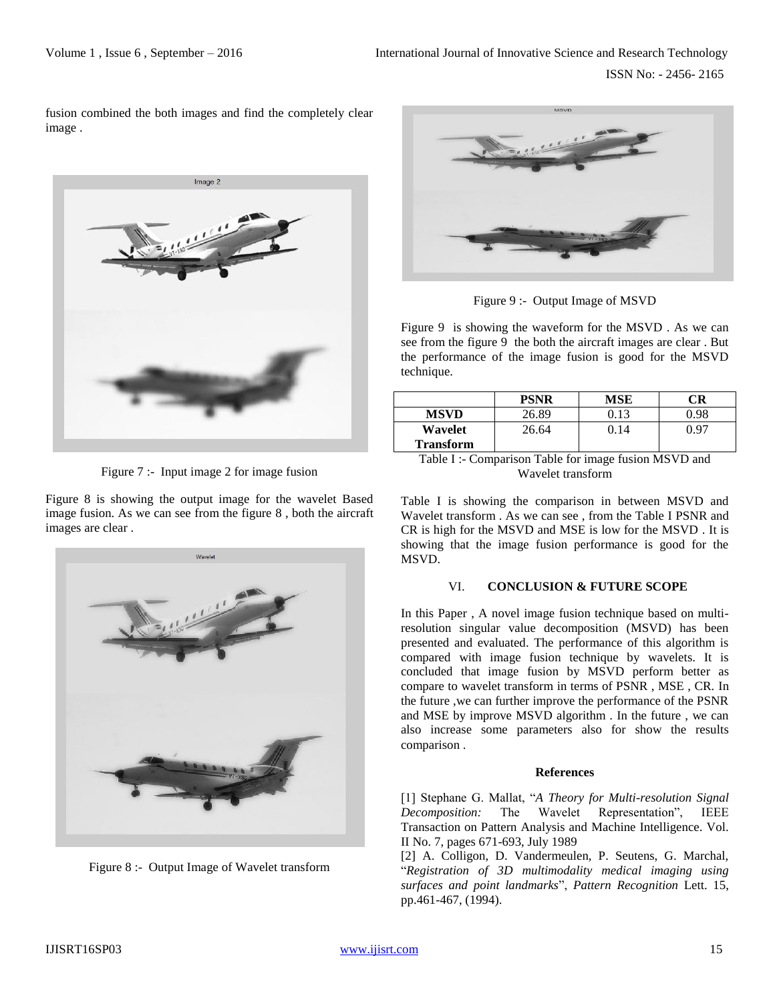fusion combined the both images and find the completely clear image .



Figure 7 :- Input image 2 for image fusion

Figure 8 is showing the output image for the wavelet Based image fusion. As we can see from the figure 8 , both the aircraft images are clear .



Figure 8 :- Output Image of Wavelet transform



Figure 9 :- Output Image of MSVD

Figure 9 is showing the waveform for the MSVD . As we can see from the figure 9 the both the aircraft images are clear . But the performance of the image fusion is good for the MSVD technique.

|                  | <b>PSNR</b> | MSE  | ™R   |
|------------------|-------------|------|------|
| <b>MSVD</b>      | 26.89       | 0.13 | 0.98 |
| Wavelet          | 26.64       | 0.14 | በ 97 |
| <b>Transform</b> |             |      |      |
|                  |             |      |      |

Table I :- Comparison Table for image fusion MSVD and Wavelet transform

Table I is showing the comparison in between MSVD and Wavelet transform . As we can see , from the Table I PSNR and CR is high for the MSVD and MSE is low for the MSVD . It is showing that the image fusion performance is good for the MSVD.

### VI. **CONCLUSION & FUTURE SCOPE**

In this Paper , A novel image fusion technique based on multiresolution singular value decomposition (MSVD) has been presented and evaluated. The performance of this algorithm is compared with image fusion technique by wavelets. It is concluded that image fusion by MSVD perform better as compare to wavelet transform in terms of PSNR , MSE , CR. In the future ,we can further improve the performance of the PSNR and MSE by improve MSVD algorithm . In the future , we can also increase some parameters also for show the results comparison .

## **References**

[1] Stephane G. Mallat, "*A Theory for Multi-resolution Signal Decomposition:* The Wavelet Representation", IEEE Transaction on Pattern Analysis and Machine Intelligence. Vol. II No. 7, pages 671-693, July 1989

[2] A. Colligon, D. Vandermeulen, P. Seutens, G. Marchal, "*Registration of 3D multimodality medical imaging using surfaces and point landmarks*", *Pattern Recognition* Lett. 15, pp.461-467, (1994).